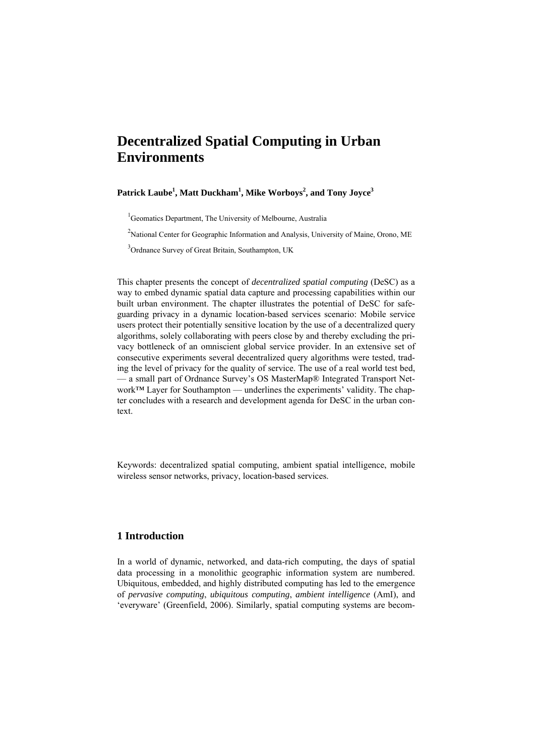# **Decentralized Spatial Computing in Urban Environments**

## **Patrick Laube1 , Matt Duckham<sup>1</sup> , Mike Worboys<sup>2</sup> , and Tony Joyce3**

<sup>1</sup> Geomatics Department, The University of Melbourne, Australia

<sup>2</sup>National Center for Geographic Information and Analysis, University of Maine, Orono, ME

3 Ordnance Survey of Great Britain, Southampton, UK

This chapter presents the concept of *decentralized spatial computing* (DeSC) as a way to embed dynamic spatial data capture and processing capabilities within our built urban environment. The chapter illustrates the potential of DeSC for safeguarding privacy in a dynamic location-based services scenario: Mobile service users protect their potentially sensitive location by the use of a decentralized query algorithms, solely collaborating with peers close by and thereby excluding the privacy bottleneck of an omniscient global service provider. In an extensive set of consecutive experiments several decentralized query algorithms were tested, trading the level of privacy for the quality of service. The use of a real world test bed, — a small part of Ordnance Survey's OS MasterMap® Integrated Transport Network™ Layer for Southampton — underlines the experiments' validity. The chapter concludes with a research and development agenda for DeSC in the urban context.

Keywords: decentralized spatial computing, ambient spatial intelligence, mobile wireless sensor networks, privacy, location-based services.

# **1 Introduction**

In a world of dynamic, networked, and data-rich computing, the days of spatial data processing in a monolithic geographic information system are numbered. Ubiquitous, embedded, and highly distributed computing has led to the emergence of *pervasive computing*, *ubiquitous computing*, *ambient intelligence* (AmI), and 'everyware' (Greenfield, 2006). Similarly, spatial computing systems are becom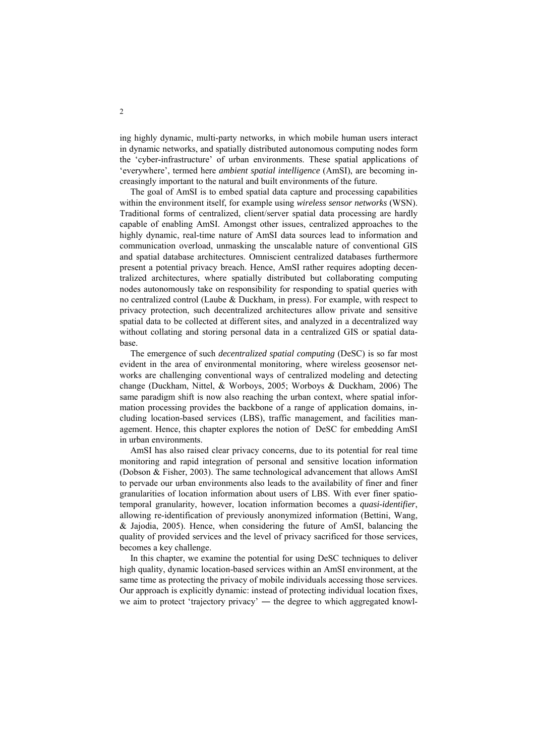ing highly dynamic, multi-party networks, in which mobile human users interact in dynamic networks, and spatially distributed autonomous computing nodes form the 'cyber-infrastructure' of urban environments. These spatial applications of 'everywhere', termed here *ambient spatial intelligence* (AmSI), are becoming increasingly important to the natural and built environments of the future.

The goal of AmSI is to embed spatial data capture and processing capabilities within the environment itself, for example using *wireless sensor networks* (WSN). Traditional forms of centralized, client/server spatial data processing are hardly capable of enabling AmSI. Amongst other issues, centralized approaches to the highly dynamic, real-time nature of AmSI data sources lead to information and communication overload, unmasking the unscalable nature of conventional GIS and spatial database architectures. Omniscient centralized databases furthermore present a potential privacy breach. Hence, AmSI rather requires adopting decentralized architectures, where spatially distributed but collaborating computing nodes autonomously take on responsibility for responding to spatial queries with no centralized control (Laube & Duckham, in press). For example, with respect to privacy protection, such decentralized architectures allow private and sensitive spatial data to be collected at different sites, and analyzed in a decentralized way without collating and storing personal data in a centralized GIS or spatial database.

The emergence of such *decentralized spatial computing* (DeSC) is so far most evident in the area of environmental monitoring, where wireless geosensor networks are challenging conventional ways of centralized modeling and detecting change (Duckham, Nittel, & Worboys, 2005; Worboys & Duckham, 2006) The same paradigm shift is now also reaching the urban context, where spatial information processing provides the backbone of a range of application domains, including location-based services (LBS), traffic management, and facilities management. Hence, this chapter explores the notion of DeSC for embedding AmSI in urban environments.

AmSI has also raised clear privacy concerns, due to its potential for real time monitoring and rapid integration of personal and sensitive location information (Dobson & Fisher, 2003). The same technological advancement that allows AmSI to pervade our urban environments also leads to the availability of finer and finer granularities of location information about users of LBS. With ever finer spatiotemporal granularity, however, location information becomes a *quasi-identifier*, allowing re-identification of previously anonymized information (Bettini, Wang, & Jajodia, 2005). Hence, when considering the future of AmSI, balancing the quality of provided services and the level of privacy sacrificed for those services, becomes a key challenge.

In this chapter, we examine the potential for using DeSC techniques to deliver high quality, dynamic location-based services within an AmSI environment, at the same time as protecting the privacy of mobile individuals accessing those services. Our approach is explicitly dynamic: instead of protecting individual location fixes, we aim to protect 'trajectory privacy' ― the degree to which aggregated knowl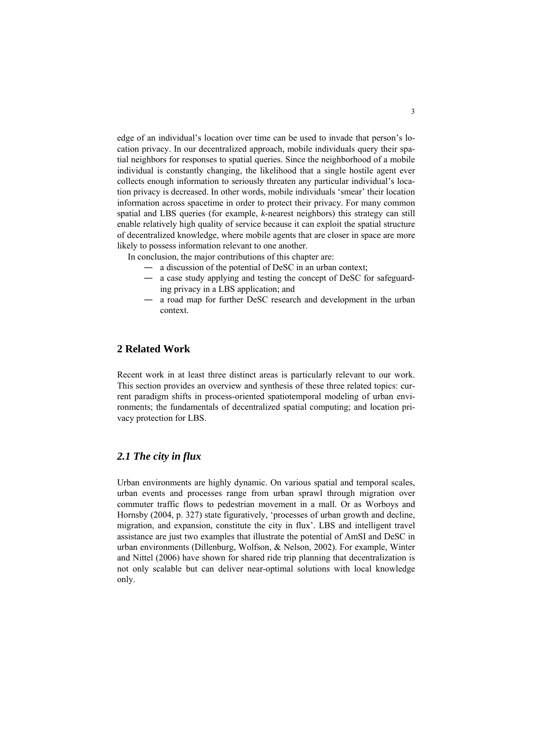edge of an individual's location over time can be used to invade that person's location privacy. In our decentralized approach, mobile individuals query their spatial neighbors for responses to spatial queries. Since the neighborhood of a mobile individual is constantly changing, the likelihood that a single hostile agent ever collects enough information to seriously threaten any particular individual's location privacy is decreased. In other words, mobile individuals 'smear' their location information across spacetime in order to protect their privacy. For many common spatial and LBS queries (for example, *k*-nearest neighbors) this strategy can still enable relatively high quality of service because it can exploit the spatial structure of decentralized knowledge, where mobile agents that are closer in space are more likely to possess information relevant to one another.

In conclusion, the major contributions of this chapter are:

- a discussion of the potential of DeSC in an urban context;
- a case study applying and testing the concept of DeSC for safeguarding privacy in a LBS application; and
- a road map for further DeSC research and development in the urban context.

# **2 Related Work**

Recent work in at least three distinct areas is particularly relevant to our work. This section provides an overview and synthesis of these three related topics: current paradigm shifts in process-oriented spatiotemporal modeling of urban environments; the fundamentals of decentralized spatial computing; and location privacy protection for LBS.

## *2.1 The city in flux*

Urban environments are highly dynamic. On various spatial and temporal scales, urban events and processes range from urban sprawl through migration over commuter traffic flows to pedestrian movement in a mall. Or as Worboys and Hornsby (2004, p. 327) state figuratively, 'processes of urban growth and decline, migration, and expansion, constitute the city in flux'. LBS and intelligent travel assistance are just two examples that illustrate the potential of AmSI and DeSC in urban environments (Dillenburg, Wolfson, & Nelson, 2002). For example, Winter and Nittel (2006) have shown for shared ride trip planning that decentralization is not only scalable but can deliver near-optimal solutions with local knowledge only.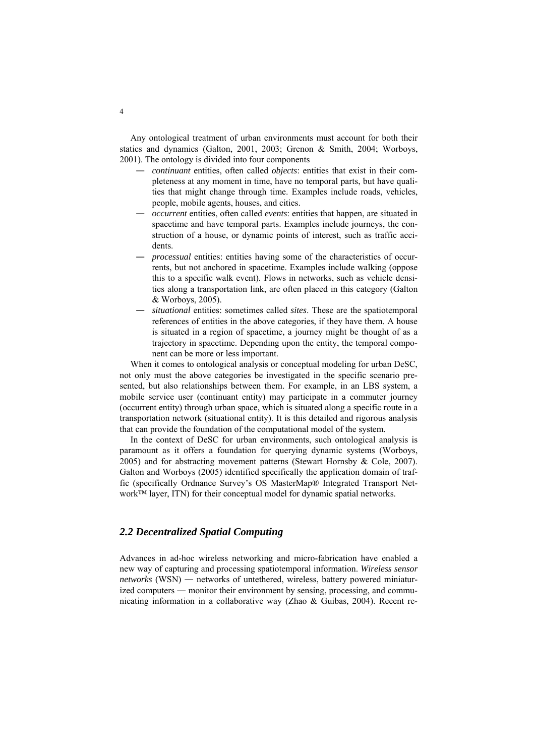Any ontological treatment of urban environments must account for both their statics and dynamics (Galton, 2001, 2003; Grenon & Smith, 2004; Worboys, 2001). The ontology is divided into four components

- *continuant* entities, often called *objects*: entities that exist in their completeness at any moment in time, have no temporal parts, but have qualities that might change through time. Examples include roads, vehicles, people, mobile agents, houses, and cities.
- *occurrent* entities, often called *events*: entities that happen, are situated in spacetime and have temporal parts. Examples include journeys, the construction of a house, or dynamic points of interest, such as traffic accidents.
- *processual* entities: entities having some of the characteristics of occurrents, but not anchored in spacetime. Examples include walking (oppose this to a specific walk event). Flows in networks, such as vehicle densities along a transportation link, are often placed in this category (Galton & Worboys, 2005).
- *situational* entities: sometimes called *sites*. These are the spatiotemporal references of entities in the above categories, if they have them. A house is situated in a region of spacetime, a journey might be thought of as a trajectory in spacetime. Depending upon the entity, the temporal component can be more or less important.

When it comes to ontological analysis or conceptual modeling for urban DeSC, not only must the above categories be investigated in the specific scenario presented, but also relationships between them. For example, in an LBS system, a mobile service user (continuant entity) may participate in a commuter journey (occurrent entity) through urban space, which is situated along a specific route in a transportation network (situational entity). It is this detailed and rigorous analysis that can provide the foundation of the computational model of the system.

In the context of DeSC for urban environments, such ontological analysis is paramount as it offers a foundation for querying dynamic systems (Worboys, 2005) and for abstracting movement patterns (Stewart Hornsby & Cole, 2007). Galton and Worboys (2005) identified specifically the application domain of traffic (specifically Ordnance Survey's OS MasterMap® Integrated Transport Network™ layer, ITN) for their conceptual model for dynamic spatial networks.

## *2.2 Decentralized Spatial Computing*

Advances in ad-hoc wireless networking and micro-fabrication have enabled a new way of capturing and processing spatiotemporal information. *Wireless sensor networks* (WSN) — networks of untethered, wireless, battery powered miniaturized computers ― monitor their environment by sensing, processing, and communicating information in a collaborative way (Zhao & Guibas, 2004). Recent re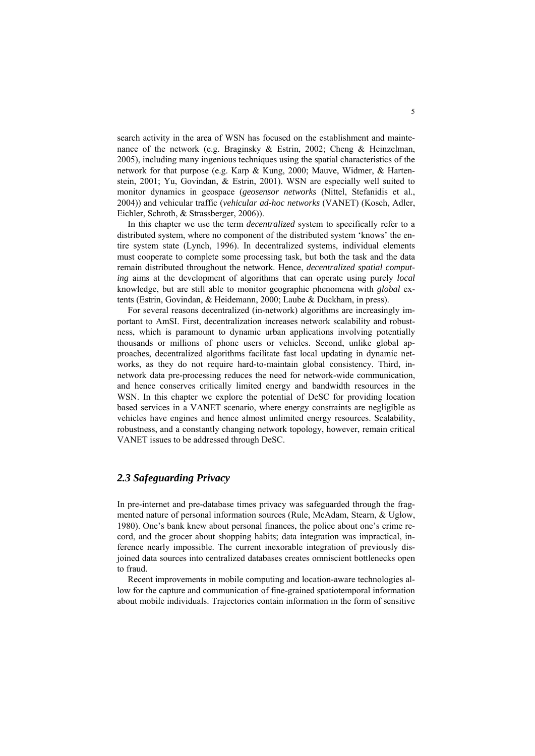search activity in the area of WSN has focused on the establishment and maintenance of the network (e.g. Braginsky & Estrin, 2002; Cheng & Heinzelman, 2005), including many ingenious techniques using the spatial characteristics of the network for that purpose (e.g. Karp & Kung, 2000; Mauve, Widmer, & Hartenstein, 2001; Yu, Govindan, & Estrin, 2001). WSN are especially well suited to monitor dynamics in geospace (*geosensor networks* (Nittel, Stefanidis et al., 2004)) and vehicular traffic (*vehicular ad-hoc networks* (VANET) (Kosch, Adler, Eichler, Schroth, & Strassberger, 2006)).

In this chapter we use the term *decentralized* system to specifically refer to a distributed system, where no component of the distributed system 'knows' the entire system state (Lynch, 1996). In decentralized systems, individual elements must cooperate to complete some processing task, but both the task and the data remain distributed throughout the network. Hence, *decentralized spatial computing* aims at the development of algorithms that can operate using purely *local* knowledge, but are still able to monitor geographic phenomena with *global* extents (Estrin, Govindan, & Heidemann, 2000; Laube & Duckham, in press).

For several reasons decentralized (in-network) algorithms are increasingly important to AmSI. First, decentralization increases network scalability and robustness, which is paramount to dynamic urban applications involving potentially thousands or millions of phone users or vehicles. Second, unlike global approaches, decentralized algorithms facilitate fast local updating in dynamic networks, as they do not require hard-to-maintain global consistency. Third, innetwork data pre-processing reduces the need for network-wide communication, and hence conserves critically limited energy and bandwidth resources in the WSN. In this chapter we explore the potential of DeSC for providing location based services in a VANET scenario, where energy constraints are negligible as vehicles have engines and hence almost unlimited energy resources. Scalability, robustness, and a constantly changing network topology, however, remain critical VANET issues to be addressed through DeSC.

## *2.3 Safeguarding Privacy*

In pre-internet and pre-database times privacy was safeguarded through the fragmented nature of personal information sources (Rule, McAdam, Stearn, & Uglow, 1980). One's bank knew about personal finances, the police about one's crime record, and the grocer about shopping habits; data integration was impractical, inference nearly impossible. The current inexorable integration of previously disjoined data sources into centralized databases creates omniscient bottlenecks open to fraud.

Recent improvements in mobile computing and location-aware technologies allow for the capture and communication of fine-grained spatiotemporal information about mobile individuals. Trajectories contain information in the form of sensitive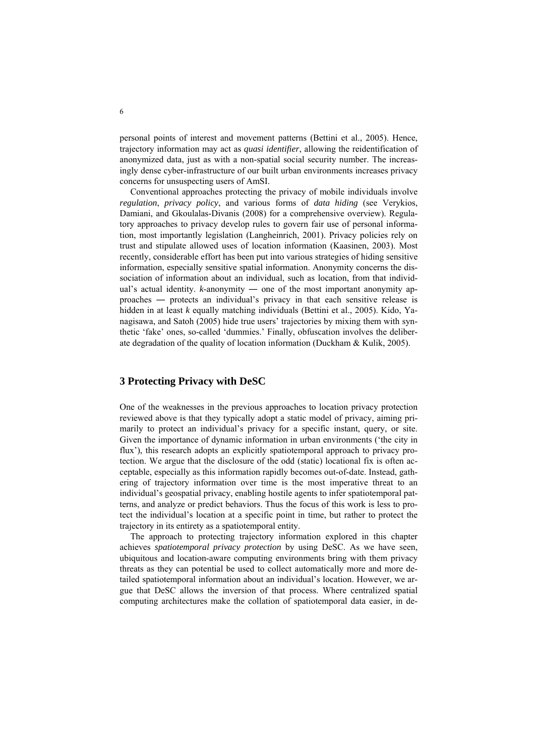personal points of interest and movement patterns (Bettini et al., 2005). Hence, trajectory information may act as *quasi identifier*, allowing the reidentification of anonymized data, just as with a non-spatial social security number. The increasingly dense cyber-infrastructure of our built urban environments increases privacy concerns for unsuspecting users of AmSI.

Conventional approaches protecting the privacy of mobile individuals involve *regulation*, *privacy policy*, and various forms of *data hiding* (see Verykios, Damiani, and Gkoulalas-Divanis (2008) for a comprehensive overview). Regulatory approaches to privacy develop rules to govern fair use of personal information, most importantly legislation (Langheinrich, 2001). Privacy policies rely on trust and stipulate allowed uses of location information (Kaasinen, 2003). Most recently, considerable effort has been put into various strategies of hiding sensitive information, especially sensitive spatial information. Anonymity concerns the dissociation of information about an individual, such as location, from that individual's actual identity. *k*-anonymity ― one of the most important anonymity approaches ― protects an individual's privacy in that each sensitive release is hidden in at least *k* equally matching individuals (Bettini et al., 2005). Kido, Yanagisawa, and Satoh (2005) hide true users' trajectories by mixing them with synthetic 'fake' ones, so-called 'dummies.' Finally, obfuscation involves the deliberate degradation of the quality of location information (Duckham & Kulik, 2005).

#### **3 Protecting Privacy with DeSC**

One of the weaknesses in the previous approaches to location privacy protection reviewed above is that they typically adopt a static model of privacy, aiming primarily to protect an individual's privacy for a specific instant, query, or site. Given the importance of dynamic information in urban environments ('the city in flux'), this research adopts an explicitly spatiotemporal approach to privacy protection. We argue that the disclosure of the odd (static) locational fix is often acceptable, especially as this information rapidly becomes out-of-date. Instead, gathering of trajectory information over time is the most imperative threat to an individual's geospatial privacy, enabling hostile agents to infer spatiotemporal patterns, and analyze or predict behaviors. Thus the focus of this work is less to protect the individual's location at a specific point in time, but rather to protect the trajectory in its entirety as a spatiotemporal entity.

The approach to protecting trajectory information explored in this chapter achieves *spatiotemporal privacy protection* by using DeSC. As we have seen, ubiquitous and location-aware computing environments bring with them privacy threats as they can potential be used to collect automatically more and more detailed spatiotemporal information about an individual's location. However, we argue that DeSC allows the inversion of that process. Where centralized spatial computing architectures make the collation of spatiotemporal data easier, in de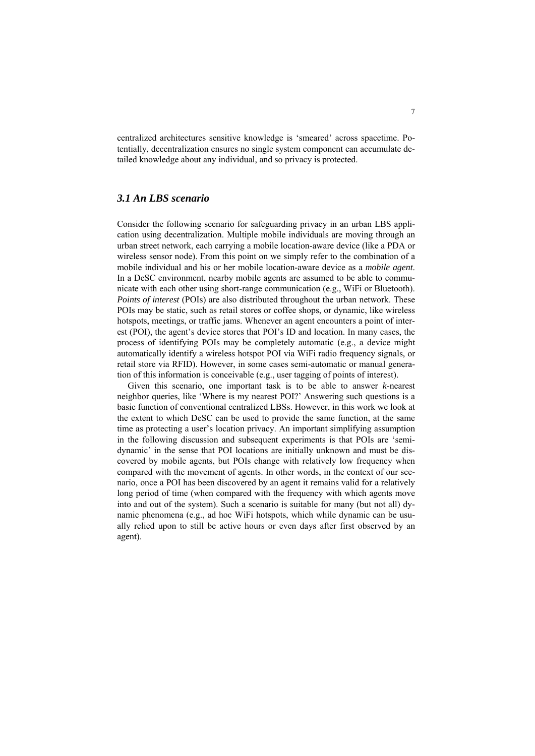centralized architectures sensitive knowledge is 'smeared' across spacetime. Potentially, decentralization ensures no single system component can accumulate detailed knowledge about any individual, and so privacy is protected.

#### *3.1 An LBS scenario*

Consider the following scenario for safeguarding privacy in an urban LBS application using decentralization. Multiple mobile individuals are moving through an urban street network, each carrying a mobile location-aware device (like a PDA or wireless sensor node). From this point on we simply refer to the combination of a mobile individual and his or her mobile location-aware device as a *mobile agent*. In a DeSC environment, nearby mobile agents are assumed to be able to communicate with each other using short-range communication (e.g., WiFi or Bluetooth). *Points of interest* (POIs) are also distributed throughout the urban network. These POIs may be static, such as retail stores or coffee shops, or dynamic, like wireless hotspots, meetings, or traffic jams. Whenever an agent encounters a point of interest (POI), the agent's device stores that POI's ID and location. In many cases, the process of identifying POIs may be completely automatic (e.g., a device might automatically identify a wireless hotspot POI via WiFi radio frequency signals, or retail store via RFID). However, in some cases semi-automatic or manual generation of this information is conceivable (e.g., user tagging of points of interest).

Given this scenario, one important task is to be able to answer *k*-nearest neighbor queries, like 'Where is my nearest POI?' Answering such questions is a basic function of conventional centralized LBSs. However, in this work we look at the extent to which DeSC can be used to provide the same function, at the same time as protecting a user's location privacy. An important simplifying assumption in the following discussion and subsequent experiments is that POIs are 'semidynamic' in the sense that POI locations are initially unknown and must be discovered by mobile agents, but POIs change with relatively low frequency when compared with the movement of agents. In other words, in the context of our scenario, once a POI has been discovered by an agent it remains valid for a relatively long period of time (when compared with the frequency with which agents move into and out of the system). Such a scenario is suitable for many (but not all) dynamic phenomena (e.g., ad hoc WiFi hotspots, which while dynamic can be usually relied upon to still be active hours or even days after first observed by an agent).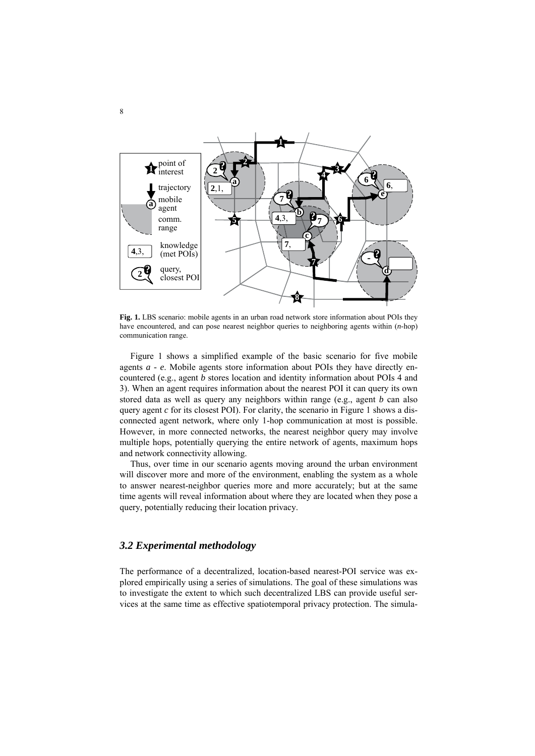

**Fig. 1.** LBS scenario: mobile agents in an urban road network store information about POIs they have encountered, and can pose nearest neighbor queries to neighboring agents within (*n*-hop) communication range.

Figure 1 shows a simplified example of the basic scenario for five mobile agents *a - e*. Mobile agents store information about POIs they have directly encountered (e.g., agent *b* stores location and identity information about POIs 4 and 3). When an agent requires information about the nearest POI it can query its own stored data as well as query any neighbors within range (e.g., agent *b* can also query agent  $c$  for its closest POI). For clarity, the scenario in Figure 1 shows a disconnected agent network, where only 1-hop communication at most is possible. However, in more connected networks, the nearest neighbor query may involve multiple hops, potentially querying the entire network of agents, maximum hops and network connectivity allowing.

Thus, over time in our scenario agents moving around the urban environment will discover more and more of the environment, enabling the system as a whole to answer nearest-neighbor queries more and more accurately; but at the same time agents will reveal information about where they are located when they pose a query, potentially reducing their location privacy.

## *3.2 Experimental methodology*

The performance of a decentralized, location-based nearest-POI service was explored empirically using a series of simulations. The goal of these simulations was to investigate the extent to which such decentralized LBS can provide useful services at the same time as effective spatiotemporal privacy protection. The simula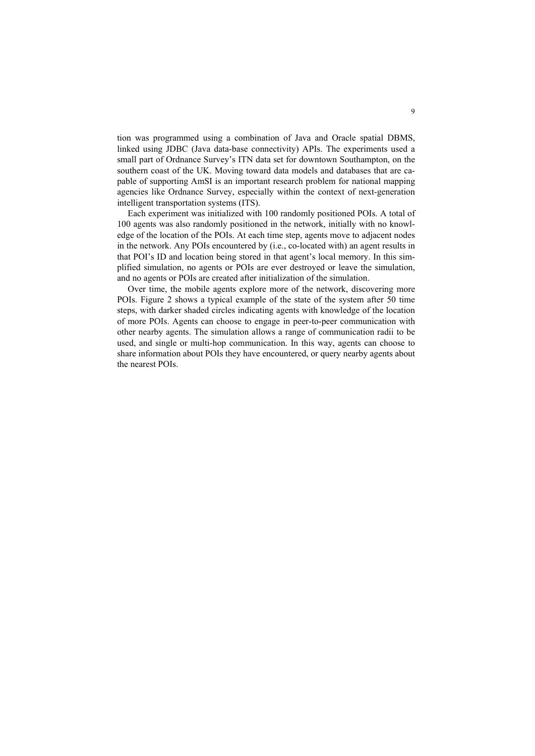tion was programmed using a combination of Java and Oracle spatial DBMS, linked using JDBC (Java data-base connectivity) APIs. The experiments used a small part of Ordnance Survey's ITN data set for downtown Southampton, on the southern coast of the UK. Moving toward data models and databases that are capable of supporting AmSI is an important research problem for national mapping agencies like Ordnance Survey, especially within the context of next-generation intelligent transportation systems (ITS).

Each experiment was initialized with 100 randomly positioned POIs. A total of 100 agents was also randomly positioned in the network, initially with no knowledge of the location of the POIs. At each time step, agents move to adjacent nodes in the network. Any POIs encountered by (i.e., co-located with) an agent results in that POI's ID and location being stored in that agent's local memory. In this simplified simulation, no agents or POIs are ever destroyed or leave the simulation, and no agents or POIs are created after initialization of the simulation.

Over time, the mobile agents explore more of the network, discovering more POIs. Figure 2 shows a typical example of the state of the system after 50 time steps, with darker shaded circles indicating agents with knowledge of the location of more POIs. Agents can choose to engage in peer-to-peer communication with other nearby agents. The simulation allows a range of communication radii to be used, and single or multi-hop communication. In this way, agents can choose to share information about POIs they have encountered, or query nearby agents about the nearest POIs.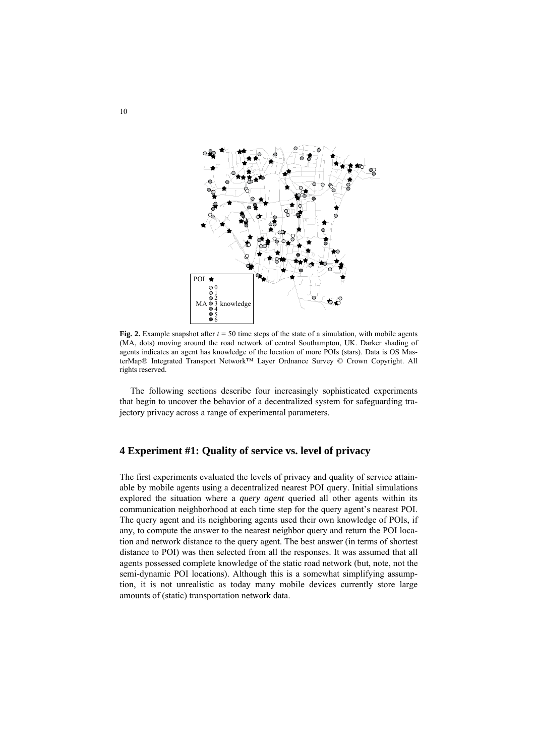

**Fig. 2.** Example snapshot after  $t = 50$  time steps of the state of a simulation, with mobile agents (MA, dots) moving around the road network of central Southampton, UK. Darker shading of agents indicates an agent has knowledge of the location of more POIs (stars). Data is OS MasterMap® Integrated Transport Network™ Layer Ordnance Survey © Crown Copyright. All rights reserved.

The following sections describe four increasingly sophisticated experiments that begin to uncover the behavior of a decentralized system for safeguarding trajectory privacy across a range of experimental parameters.

# **4 Experiment #1: Quality of service vs. level of privacy**

The first experiments evaluated the levels of privacy and quality of service attainable by mobile agents using a decentralized nearest POI query. Initial simulations explored the situation where a *query agent* queried all other agents within its communication neighborhood at each time step for the query agent's nearest POI. The query agent and its neighboring agents used their own knowledge of POIs, if any, to compute the answer to the nearest neighbor query and return the POI location and network distance to the query agent. The best answer (in terms of shortest distance to POI) was then selected from all the responses. It was assumed that all agents possessed complete knowledge of the static road network (but, note, not the semi-dynamic POI locations). Although this is a somewhat simplifying assumption, it is not unrealistic as today many mobile devices currently store large amounts of (static) transportation network data.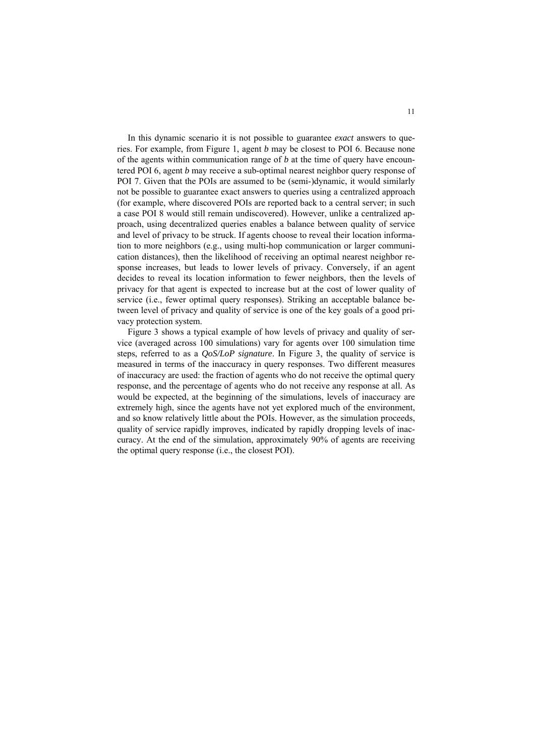In this dynamic scenario it is not possible to guarantee *exact* answers to queries. For example, from Figure 1, agent *b* may be closest to POI 6. Because none of the agents within communication range of *b* at the time of query have encountered POI 6, agent *b* may receive a sub-optimal nearest neighbor query response of POI 7. Given that the POIs are assumed to be (semi-)dynamic, it would similarly not be possible to guarantee exact answers to queries using a centralized approach (for example, where discovered POIs are reported back to a central server; in such a case POI 8 would still remain undiscovered). However, unlike a centralized approach, using decentralized queries enables a balance between quality of service and level of privacy to be struck. If agents choose to reveal their location information to more neighbors (e.g., using multi-hop communication or larger communication distances), then the likelihood of receiving an optimal nearest neighbor response increases, but leads to lower levels of privacy. Conversely, if an agent decides to reveal its location information to fewer neighbors, then the levels of privacy for that agent is expected to increase but at the cost of lower quality of service (i.e., fewer optimal query responses). Striking an acceptable balance between level of privacy and quality of service is one of the key goals of a good privacy protection system.

Figure 3 shows a typical example of how levels of privacy and quality of service (averaged across 100 simulations) vary for agents over 100 simulation time steps, referred to as a *QoS/LoP signature*. In Figure 3, the quality of service is measured in terms of the inaccuracy in query responses. Two different measures of inaccuracy are used: the fraction of agents who do not receive the optimal query response, and the percentage of agents who do not receive any response at all. As would be expected, at the beginning of the simulations, levels of inaccuracy are extremely high, since the agents have not yet explored much of the environment, and so know relatively little about the POIs. However, as the simulation proceeds, quality of service rapidly improves, indicated by rapidly dropping levels of inaccuracy. At the end of the simulation, approximately 90% of agents are receiving the optimal query response (i.e., the closest POI).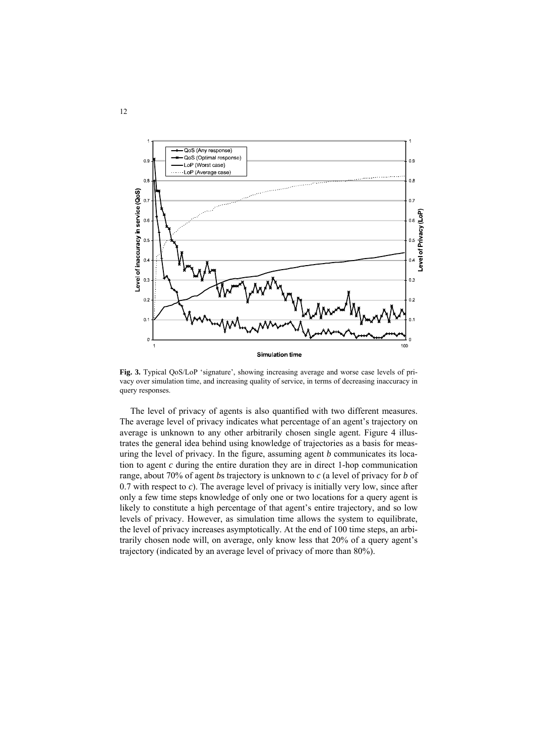

**Fig. 3.** Typical QoS/LoP 'signature', showing increasing average and worse case levels of privacy over simulation time, and increasing quality of service, in terms of decreasing inaccuracy in query responses.

The level of privacy of agents is also quantified with two different measures. The average level of privacy indicates what percentage of an agent's trajectory on average is unknown to any other arbitrarily chosen single agent. Figure 4 illustrates the general idea behind using knowledge of trajectories as a basis for measuring the level of privacy. In the figure, assuming agent *b* communicates its location to agent *c* during the entire duration they are in direct 1-hop communication range, about 70% of agent *b*s trajectory is unknown to *c* (a level of privacy for *b* of 0.7 with respect to  $c$ ). The average level of privacy is initially very low, since after only a few time steps knowledge of only one or two locations for a query agent is likely to constitute a high percentage of that agent's entire trajectory, and so low levels of privacy. However, as simulation time allows the system to equilibrate, the level of privacy increases asymptotically. At the end of 100 time steps, an arbitrarily chosen node will, on average, only know less that 20% of a query agent's trajectory (indicated by an average level of privacy of more than 80%).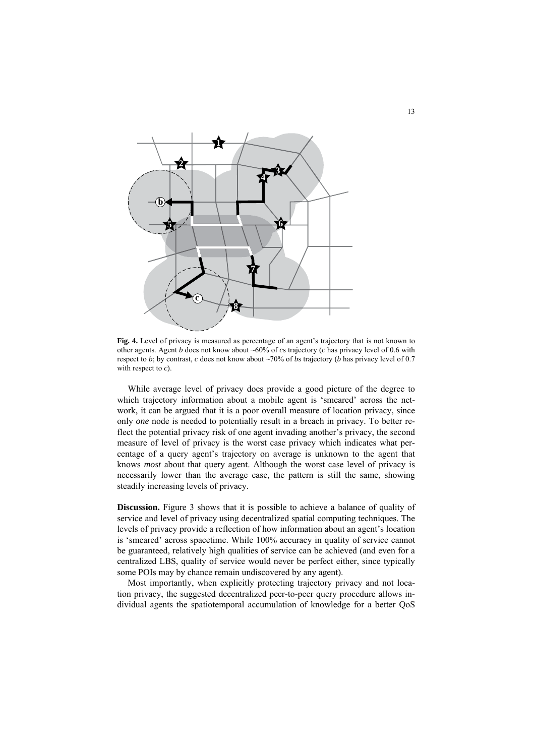

**Fig. 4.** Level of privacy is measured as percentage of an agent's trajectory that is not known to other agents. Agent *b* does not know about ~60% of *c*s trajectory (*c* has privacy level of 0.6 with respect to *b*; by contrast, *c* does not know about ~70% of *bs* trajectory (*b* has privacy level of 0.7 with respect to *c*).

While average level of privacy does provide a good picture of the degree to which trajectory information about a mobile agent is 'smeared' across the network, it can be argued that it is a poor overall measure of location privacy, since only *one* node is needed to potentially result in a breach in privacy. To better reflect the potential privacy risk of one agent invading another's privacy, the second measure of level of privacy is the worst case privacy which indicates what percentage of a query agent's trajectory on average is unknown to the agent that knows *most* about that query agent. Although the worst case level of privacy is necessarily lower than the average case, the pattern is still the same, showing steadily increasing levels of privacy.

**Discussion.** Figure 3 shows that it is possible to achieve a balance of quality of service and level of privacy using decentralized spatial computing techniques. The levels of privacy provide a reflection of how information about an agent's location is 'smeared' across spacetime. While 100% accuracy in quality of service cannot be guaranteed, relatively high qualities of service can be achieved (and even for a centralized LBS, quality of service would never be perfect either, since typically some POIs may by chance remain undiscovered by any agent).

Most importantly, when explicitly protecting trajectory privacy and not location privacy, the suggested decentralized peer-to-peer query procedure allows individual agents the spatiotemporal accumulation of knowledge for a better QoS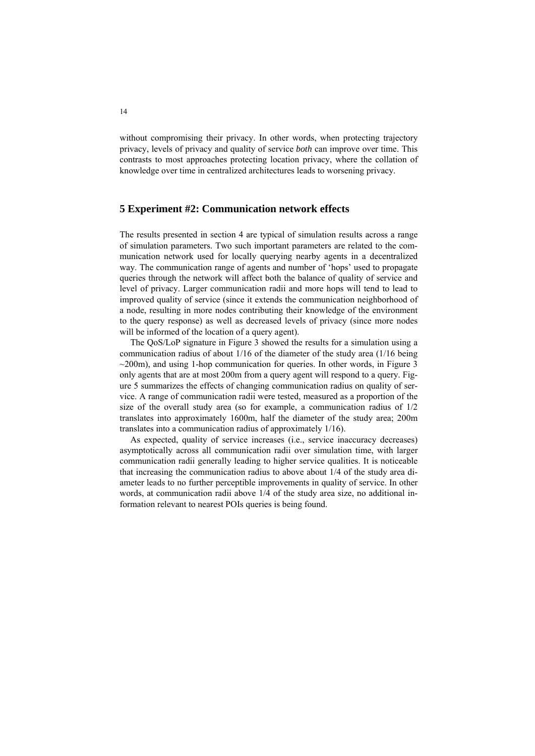without compromising their privacy. In other words, when protecting trajectory privacy, levels of privacy and quality of service *both* can improve over time. This contrasts to most approaches protecting location privacy, where the collation of knowledge over time in centralized architectures leads to worsening privacy.

#### **5 Experiment #2: Communication network effects**

The results presented in section 4 are typical of simulation results across a range of simulation parameters. Two such important parameters are related to the communication network used for locally querying nearby agents in a decentralized way. The communication range of agents and number of 'hops' used to propagate queries through the network will affect both the balance of quality of service and level of privacy. Larger communication radii and more hops will tend to lead to improved quality of service (since it extends the communication neighborhood of a node, resulting in more nodes contributing their knowledge of the environment to the query response) as well as decreased levels of privacy (since more nodes will be informed of the location of a query agent).

The OoS/LoP signature in Figure 3 showed the results for a simulation using a communication radius of about 1/16 of the diameter of the study area (1/16 being  $\sim$ 200m), and using 1-hop communication for queries. In other words, in Figure 3 only agents that are at most 200m from a query agent will respond to a query. Figure 5 summarizes the effects of changing communication radius on quality of service. A range of communication radii were tested, measured as a proportion of the size of the overall study area (so for example, a communication radius of 1/2 translates into approximately 1600m, half the diameter of the study area; 200m translates into a communication radius of approximately 1/16).

As expected, quality of service increases (i.e., service inaccuracy decreases) asymptotically across all communication radii over simulation time, with larger communication radii generally leading to higher service qualities. It is noticeable that increasing the communication radius to above about 1/4 of the study area diameter leads to no further perceptible improvements in quality of service. In other words, at communication radii above 1/4 of the study area size, no additional information relevant to nearest POIs queries is being found.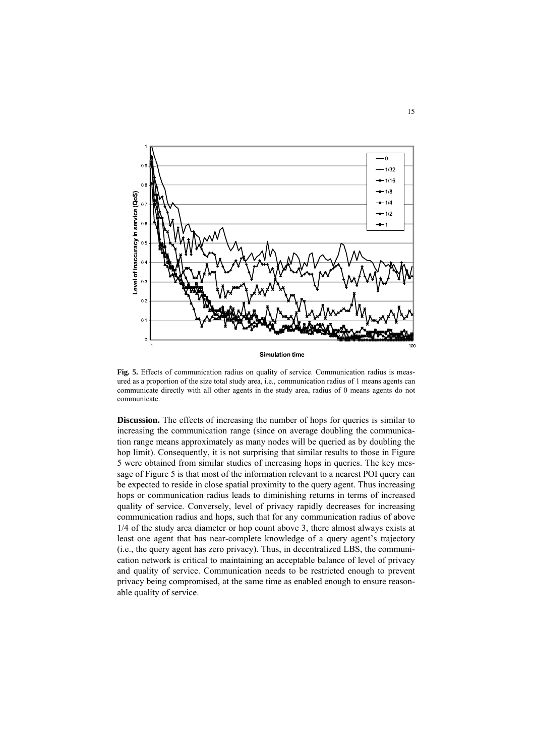

**Fig. 5.** Effects of communication radius on quality of service. Communication radius is measured as a proportion of the size total study area, i.e., communication radius of 1 means agents can communicate directly with all other agents in the study area, radius of 0 means agents do not communicate.

**Discussion.** The effects of increasing the number of hops for queries is similar to increasing the communication range (since on average doubling the communication range means approximately as many nodes will be queried as by doubling the hop limit). Consequently, it is not surprising that similar results to those in Figure 5 were obtained from similar studies of increasing hops in queries. The key message of Figure 5 is that most of the information relevant to a nearest POI query can be expected to reside in close spatial proximity to the query agent. Thus increasing hops or communication radius leads to diminishing returns in terms of increased quality of service. Conversely, level of privacy rapidly decreases for increasing communication radius and hops, such that for any communication radius of above 1/4 of the study area diameter or hop count above 3, there almost always exists at least one agent that has near-complete knowledge of a query agent's trajectory (i.e., the query agent has zero privacy). Thus, in decentralized LBS, the communication network is critical to maintaining an acceptable balance of level of privacy and quality of service. Communication needs to be restricted enough to prevent privacy being compromised, at the same time as enabled enough to ensure reasonable quality of service.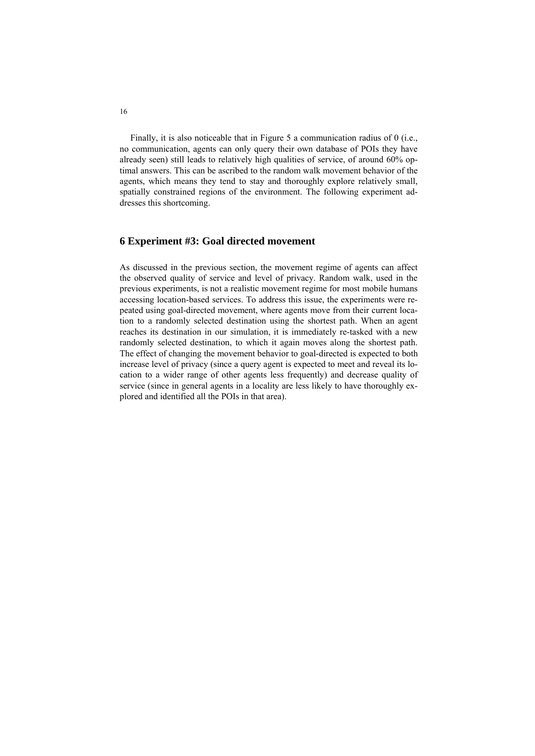Finally, it is also noticeable that in Figure 5 a communication radius of 0 (i.e., no communication, agents can only query their own database of POIs they have already seen) still leads to relatively high qualities of service, of around 60% optimal answers. This can be ascribed to the random walk movement behavior of the agents, which means they tend to stay and thoroughly explore relatively small, spatially constrained regions of the environment. The following experiment addresses this shortcoming.

#### **6 Experiment #3: Goal directed movement**

As discussed in the previous section, the movement regime of agents can affect the observed quality of service and level of privacy. Random walk, used in the previous experiments, is not a realistic movement regime for most mobile humans accessing location-based services. To address this issue, the experiments were repeated using goal-directed movement, where agents move from their current location to a randomly selected destination using the shortest path. When an agent reaches its destination in our simulation, it is immediately re-tasked with a new randomly selected destination, to which it again moves along the shortest path. The effect of changing the movement behavior to goal-directed is expected to both increase level of privacy (since a query agent is expected to meet and reveal its location to a wider range of other agents less frequently) and decrease quality of service (since in general agents in a locality are less likely to have thoroughly explored and identified all the POIs in that area).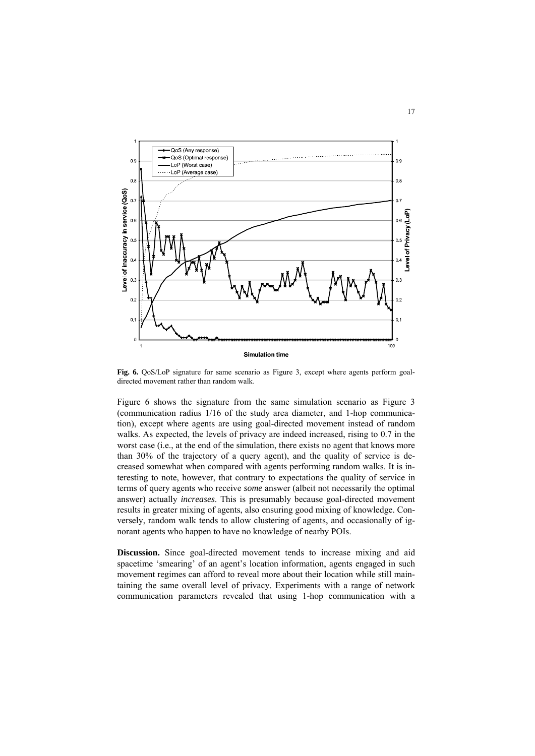

**Fig. 6.** QoS/LoP signature for same scenario as Figure 3, except where agents perform goaldirected movement rather than random walk.

Figure 6 shows the signature from the same simulation scenario as Figure 3 (communication radius 1/16 of the study area diameter, and 1-hop communication), except where agents are using goal-directed movement instead of random walks. As expected, the levels of privacy are indeed increased, rising to 0.7 in the worst case (i.e., at the end of the simulation, there exists no agent that knows more than 30% of the trajectory of a query agent), and the quality of service is decreased somewhat when compared with agents performing random walks. It is interesting to note, however, that contrary to expectations the quality of service in terms of query agents who receive *some* answer (albeit not necessarily the optimal answer) actually *increases*. This is presumably because goal-directed movement results in greater mixing of agents, also ensuring good mixing of knowledge. Conversely, random walk tends to allow clustering of agents, and occasionally of ignorant agents who happen to have no knowledge of nearby POIs.

**Discussion.** Since goal-directed movement tends to increase mixing and aid spacetime 'smearing' of an agent's location information, agents engaged in such movement regimes can afford to reveal more about their location while still maintaining the same overall level of privacy. Experiments with a range of network communication parameters revealed that using 1-hop communication with a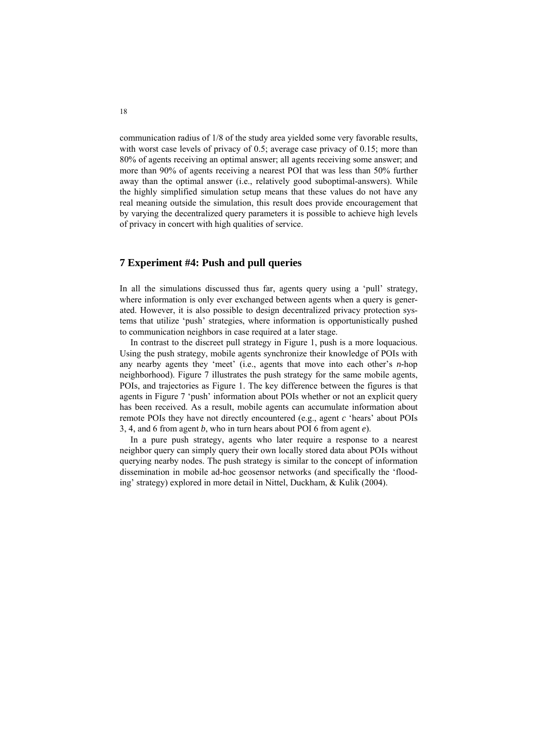communication radius of 1/8 of the study area yielded some very favorable results, with worst case levels of privacy of 0.5; average case privacy of 0.15; more than 80% of agents receiving an optimal answer; all agents receiving some answer; and more than 90% of agents receiving a nearest POI that was less than 50% further away than the optimal answer (i.e., relatively good suboptimal-answers). While the highly simplified simulation setup means that these values do not have any real meaning outside the simulation, this result does provide encouragement that by varying the decentralized query parameters it is possible to achieve high levels of privacy in concert with high qualities of service.

## **7 Experiment #4: Push and pull queries**

In all the simulations discussed thus far, agents query using a 'pull' strategy, where information is only ever exchanged between agents when a query is generated. However, it is also possible to design decentralized privacy protection systems that utilize 'push' strategies, where information is opportunistically pushed to communication neighbors in case required at a later stage.

In contrast to the discreet pull strategy in Figure 1, push is a more loquacious. Using the push strategy, mobile agents synchronize their knowledge of POIs with any nearby agents they 'meet' (i.e., agents that move into each other's *n-*hop neighborhood). Figure 7 illustrates the push strategy for the same mobile agents, POIs, and trajectories as Figure 1. The key difference between the figures is that agents in Figure 7 'push' information about POIs whether or not an explicit query has been received. As a result, mobile agents can accumulate information about remote POIs they have not directly encountered (e.g., agent *c* 'hears' about POIs 3, 4, and 6 from agent *b*, who in turn hears about POI 6 from agent *e*).

In a pure push strategy, agents who later require a response to a nearest neighbor query can simply query their own locally stored data about POIs without querying nearby nodes. The push strategy is similar to the concept of information dissemination in mobile ad-hoc geosensor networks (and specifically the 'flooding' strategy) explored in more detail in Nittel, Duckham, & Kulik (2004).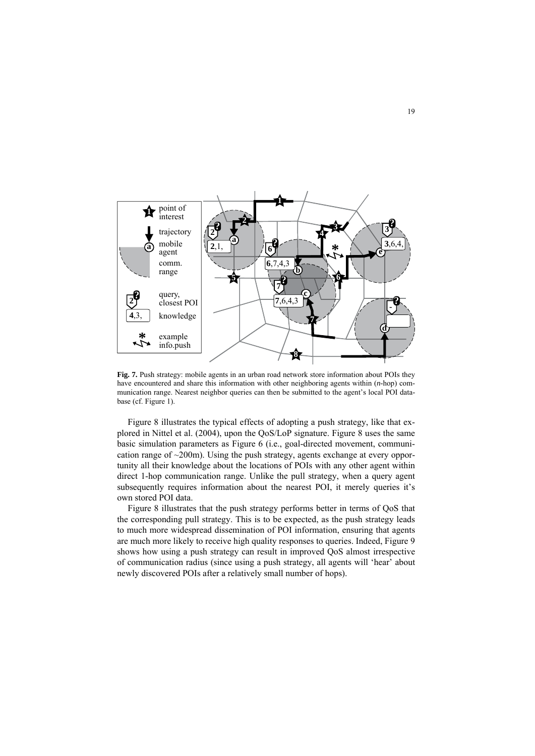

**Fig. 7.** Push strategy: mobile agents in an urban road network store information about POIs they have encountered and share this information with other neighboring agents within (*n*-hop) communication range. Nearest neighbor queries can then be submitted to the agent's local POI database (cf. Figure 1).

Figure 8 illustrates the typical effects of adopting a push strategy, like that explored in Nittel et al. (2004), upon the QoS/LoP signature. Figure 8 uses the same basic simulation parameters as Figure 6 (i.e., goal-directed movement, communication range of ~200m). Using the push strategy, agents exchange at every opportunity all their knowledge about the locations of POIs with any other agent within direct 1-hop communication range. Unlike the pull strategy, when a query agent subsequently requires information about the nearest POI, it merely queries it's own stored POI data.

Figure 8 illustrates that the push strategy performs better in terms of QoS that the corresponding pull strategy. This is to be expected, as the push strategy leads to much more widespread dissemination of POI information, ensuring that agents are much more likely to receive high quality responses to queries. Indeed, Figure 9 shows how using a push strategy can result in improved QoS almost irrespective of communication radius (since using a push strategy, all agents will 'hear' about newly discovered POIs after a relatively small number of hops).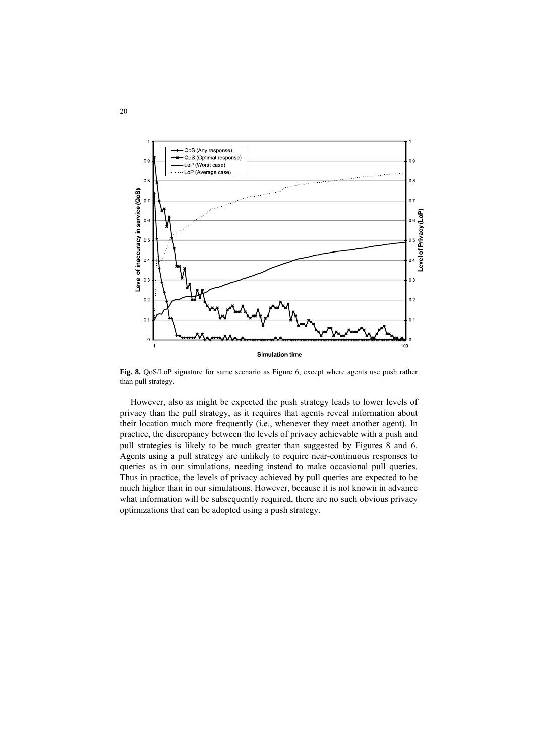

**Fig. 8.** QoS/LoP signature for same scenario as Figure 6, except where agents use push rather than pull strategy.

However, also as might be expected the push strategy leads to lower levels of privacy than the pull strategy, as it requires that agents reveal information about their location much more frequently (i.e., whenever they meet another agent). In practice, the discrepancy between the levels of privacy achievable with a push and pull strategies is likely to be much greater than suggested by Figures 8 and 6. Agents using a pull strategy are unlikely to require near-continuous responses to queries as in our simulations, needing instead to make occasional pull queries. Thus in practice, the levels of privacy achieved by pull queries are expected to be much higher than in our simulations. However, because it is not known in advance what information will be subsequently required, there are no such obvious privacy optimizations that can be adopted using a push strategy.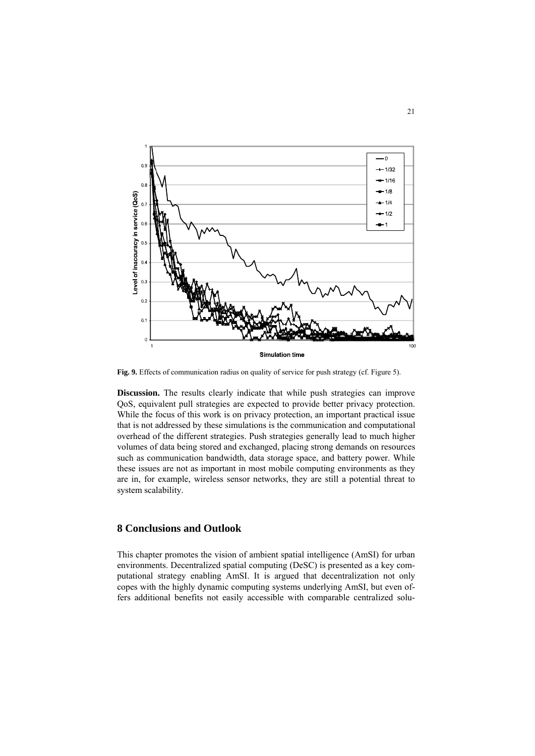

Fig. 9. Effects of communication radius on quality of service for push strategy (cf. Figure 5).

**Discussion.** The results clearly indicate that while push strategies can improve QoS, equivalent pull strategies are expected to provide better privacy protection. While the focus of this work is on privacy protection, an important practical issue that is not addressed by these simulations is the communication and computational overhead of the different strategies. Push strategies generally lead to much higher volumes of data being stored and exchanged, placing strong demands on resources such as communication bandwidth, data storage space, and battery power. While these issues are not as important in most mobile computing environments as they are in, for example, wireless sensor networks, they are still a potential threat to system scalability.

# **8 Conclusions and Outlook**

This chapter promotes the vision of ambient spatial intelligence (AmSI) for urban environments. Decentralized spatial computing (DeSC) is presented as a key computational strategy enabling AmSI. It is argued that decentralization not only copes with the highly dynamic computing systems underlying AmSI, but even offers additional benefits not easily accessible with comparable centralized solu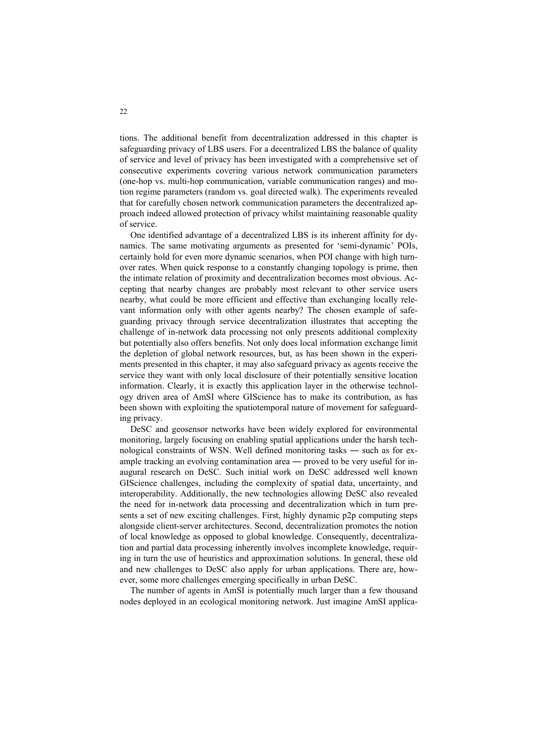tions. The additional benefit from decentralization addressed in this chapter is safeguarding privacy of LBS users. For a decentralized LBS the balance of quality of service and level of privacy has been investigated with a comprehensive set of consecutive experiments covering various network communication parameters (one-hop vs. multi-hop communication, variable communication ranges) and motion regime parameters (random vs. goal directed walk). The experiments revealed that for carefully chosen network communication parameters the decentralized approach indeed allowed protection of privacy whilst maintaining reasonable quality of service.

One identified advantage of a decentralized LBS is its inherent affinity for dynamics. The same motivating arguments as presented for 'semi-dynamic' POIs, certainly hold for even more dynamic scenarios, when POI change with high turnover rates. When quick response to a constantly changing topology is prime, then the intimate relation of proximity and decentralization becomes most obvious. Accepting that nearby changes are probably most relevant to other service users nearby, what could be more efficient and effective than exchanging locally relevant information only with other agents nearby? The chosen example of safeguarding privacy through service decentralization illustrates that accepting the challenge of in-network data processing not only presents additional complexity but potentially also offers benefits. Not only does local information exchange limit the depletion of global network resources, but, as has been shown in the experiments presented in this chapter, it may also safeguard privacy as agents receive the service they want with only local disclosure of their potentially sensitive location information. Clearly, it is exactly this application layer in the otherwise technology driven area of AmSI where GIScience has to make its contribution, as has been shown with exploiting the spatiotemporal nature of movement for safeguarding privacy.

DeSC and geosensor networks have been widely explored for environmental monitoring, largely focusing on enabling spatial applications under the harsh technological constraints of WSN. Well defined monitoring tasks ― such as for example tracking an evolving contamination area ― proved to be very useful for inaugural research on DeSC. Such initial work on DeSC addressed well known GIScience challenges, including the complexity of spatial data, uncertainty, and interoperability. Additionally, the new technologies allowing DeSC also revealed the need for in-network data processing and decentralization which in turn presents a set of new exciting challenges. First, highly dynamic p2p computing steps alongside client-server architectures. Second, decentralization promotes the notion of local knowledge as opposed to global knowledge. Consequently, decentralization and partial data processing inherently involves incomplete knowledge, requiring in turn the use of heuristics and approximation solutions. In general, these old and new challenges to DeSC also apply for urban applications. There are, however, some more challenges emerging specifically in urban DeSC.

The number of agents in AmSI is potentially much larger than a few thousand nodes deployed in an ecological monitoring network. Just imagine AmSI applica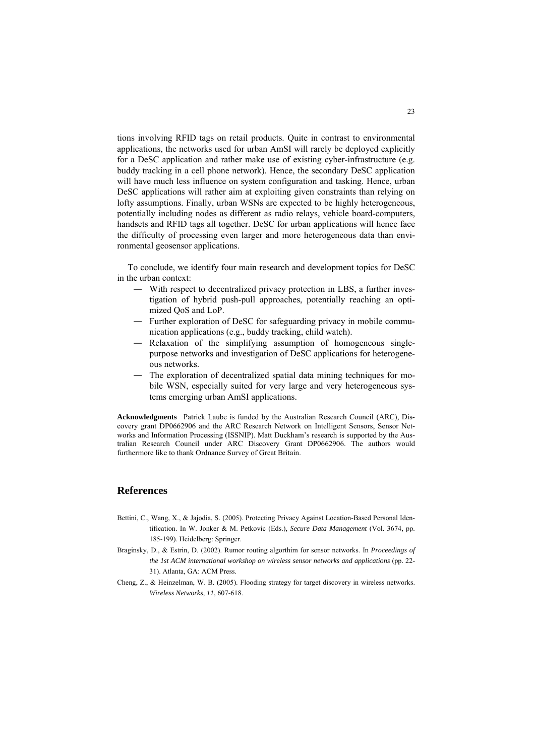tions involving RFID tags on retail products. Quite in contrast to environmental applications, the networks used for urban AmSI will rarely be deployed explicitly for a DeSC application and rather make use of existing cyber-infrastructure (e.g. buddy tracking in a cell phone network). Hence, the secondary DeSC application will have much less influence on system configuration and tasking. Hence, urban DeSC applications will rather aim at exploiting given constraints than relying on lofty assumptions. Finally, urban WSNs are expected to be highly heterogeneous, potentially including nodes as different as radio relays, vehicle board-computers, handsets and RFID tags all together. DeSC for urban applications will hence face the difficulty of processing even larger and more heterogeneous data than environmental geosensor applications.

To conclude, we identify four main research and development topics for DeSC in the urban context:

- With respect to decentralized privacy protection in LBS, a further investigation of hybrid push-pull approaches, potentially reaching an optimized QoS and LoP.
- Further exploration of DeSC for safeguarding privacy in mobile communication applications (e.g., buddy tracking, child watch).
- Relaxation of the simplifying assumption of homogeneous singlepurpose networks and investigation of DeSC applications for heterogeneous networks.
- The exploration of decentralized spatial data mining techniques for mobile WSN, especially suited for very large and very heterogeneous systems emerging urban AmSI applications.

**Acknowledgments** Patrick Laube is funded by the Australian Research Council (ARC), Discovery grant DP0662906 and the ARC Research Network on Intelligent Sensors, Sensor Networks and Information Processing (ISSNIP). Matt Duckham's research is supported by the Australian Research Council under ARC Discovery Grant DP0662906. The authors would furthermore like to thank Ordnance Survey of Great Britain.

## **References**

- Bettini, C., Wang, X., & Jajodia, S. (2005). Protecting Privacy Against Location-Based Personal Identification. In W. Jonker & M. Petkovic (Eds.), *Secure Data Management* (Vol. 3674, pp. 185-199). Heidelberg: Springer.
- Braginsky, D., & Estrin, D. (2002). Rumor routing algorthim for sensor networks. In *Proceedings of the 1st ACM international workshop on wireless sensor networks and applications* (pp. 22- 31). Atlanta, GA: ACM Press.
- Cheng, Z., & Heinzelman, W. B. (2005). Flooding strategy for target discovery in wireless networks. *Wireless Networks, 11*, 607-618.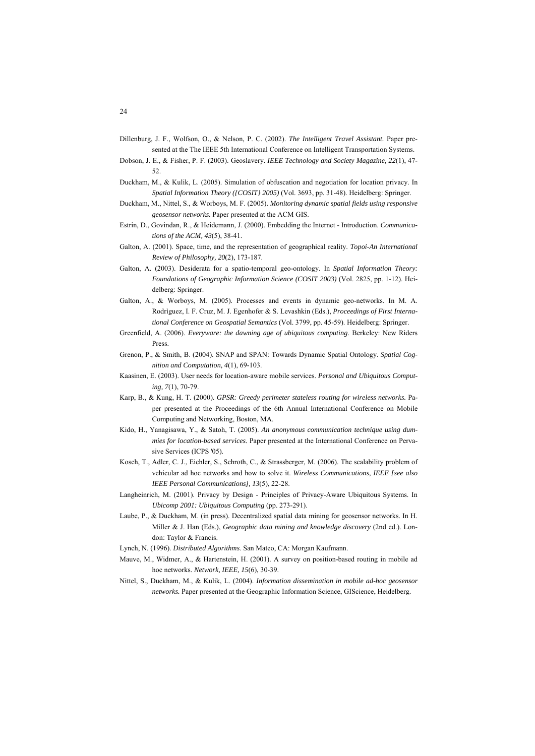- Dillenburg, J. F., Wolfson, O., & Nelson, P. C. (2002). *The Intelligent Travel Assistant.* Paper presented at the The IEEE 5th International Conference on Intelligent Transportation Systems.
- Dobson, J. E., & Fisher, P. F. (2003). Geoslavery. *IEEE Technology and Society Magazine, 22*(1), 47- 52.
- Duckham, M., & Kulik, L. (2005). Simulation of obfuscation and negotiation for location privacy. In *Spatial Information Theory ({COSIT} 2005)* (Vol. 3693, pp. 31-48). Heidelberg: Springer.
- Duckham, M., Nittel, S., & Worboys, M. F. (2005). *Monitoring dynamic spatial fields using responsive geosensor networks.* Paper presented at the ACM GIS.
- Estrin, D., Govindan, R., & Heidemann, J. (2000). Embedding the Internet Introduction. *Communications of the ACM, 43*(5), 38-41.
- Galton, A. (2001). Space, time, and the representation of geographical reality. *Topoi-An International Review of Philosophy, 20*(2), 173-187.
- Galton, A. (2003). Desiderata for a spatio-temporal geo-ontology. In *Spatial Information Theory: Foundations of Geographic Information Science (COSIT 2003)* (Vol. 2825, pp. 1-12). Heidelberg: Springer.
- Galton, A., & Worboys, M. (2005). Processes and events in dynamic geo-networks. In M. A. Rodrìguez, I. F. Cruz, M. J. Egenhofer & S. Levashkin (Eds.), *Proceedings of First International Conference on Geospatial Semantics* (Vol. 3799, pp. 45-59). Heidelberg: Springer.
- Greenfield, A. (2006). *Everyware: the dawning age of ubiquitous computing*. Berkeley: New Riders Press.
- Grenon, P., & Smith, B. (2004). SNAP and SPAN: Towards Dynamic Spatial Ontology. *Spatial Cognition and Computation, 4*(1), 69-103.
- Kaasinen, E. (2003). User needs for location-aware mobile services. *Personal and Ubiquitous Computing, 7*(1), 70-79.
- Karp, B., & Kung, H. T. (2000). *GPSR: Greedy perimeter stateless routing for wireless networks.* Paper presented at the Proceedings of the 6th Annual International Conference on Mobile Computing and Networking, Boston, MA.
- Kido, H., Yanagisawa, Y., & Satoh, T. (2005). *An anonymous communication technique using dummies for location-based services.* Paper presented at the International Conference on Pervasive Services (ICPS '05).
- Kosch, T., Adler, C. J., Eichler, S., Schroth, C., & Strassberger, M. (2006). The scalability problem of vehicular ad hoc networks and how to solve it. *Wireless Communications, IEEE [see also IEEE Personal Communications], 13*(5), 22-28.
- Langheinrich, M. (2001). Privacy by Design Principles of Privacy-Aware Ubiquitous Systems. In *Ubicomp 2001: Ubiquitous Computing* (pp. 273-291).
- Laube, P., & Duckham, M. (in press). Decentralized spatial data mining for geosensor networks. In H. Miller & J. Han (Eds.), *Geographic data mining and knowledge discovery* (2nd ed.). London: Taylor & Francis.
- Lynch, N. (1996). *Distributed Algorithms*. San Mateo, CA: Morgan Kaufmann.
- Mauve, M., Widmer, A., & Hartenstein, H. (2001). A survey on position-based routing in mobile ad hoc networks. *Network, IEEE, 15*(6), 30-39.
- Nittel, S., Duckham, M., & Kulik, L. (2004). *Information dissemination in mobile ad-hoc geosensor networks.* Paper presented at the Geographic Information Science, GIScience, Heidelberg.